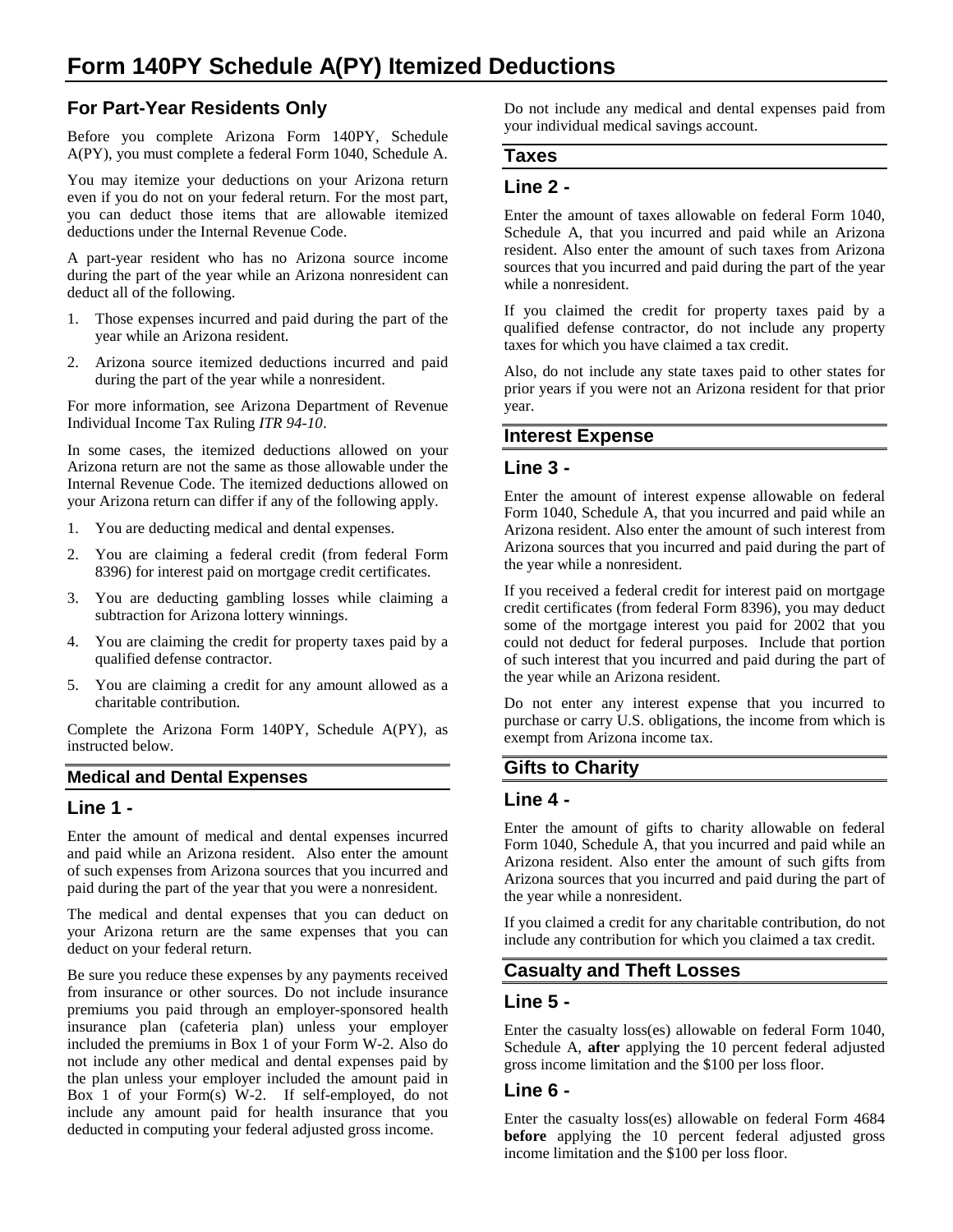# **For Part-Year Residents Only**

Before you complete Arizona Form 140PY, Schedule A(PY), you must complete a federal Form 1040, Schedule A.

You may itemize your deductions on your Arizona return even if you do not on your federal return. For the most part, you can deduct those items that are allowable itemized deductions under the Internal Revenue Code.

A part-year resident who has no Arizona source income during the part of the year while an Arizona nonresident can deduct all of the following.

- 1. Those expenses incurred and paid during the part of the year while an Arizona resident.
- 2. Arizona source itemized deductions incurred and paid during the part of the year while a nonresident.

For more information, see Arizona Department of Revenue Individual Income Tax Ruling *ITR 94-10*.

In some cases, the itemized deductions allowed on your Arizona return are not the same as those allowable under the Internal Revenue Code. The itemized deductions allowed on your Arizona return can differ if any of the following apply.

- 1. You are deducting medical and dental expenses.
- 2. You are claiming a federal credit (from federal Form 8396) for interest paid on mortgage credit certificates.
- 3. You are deducting gambling losses while claiming a subtraction for Arizona lottery winnings.
- 4. You are claiming the credit for property taxes paid by a qualified defense contractor.
- 5. You are claiming a credit for any amount allowed as a charitable contribution.

Complete the Arizona Form 140PY, Schedule A(PY), as instructed below.

#### **Medical and Dental Expenses**

#### **Line 1 -**

Enter the amount of medical and dental expenses incurred and paid while an Arizona resident. Also enter the amount of such expenses from Arizona sources that you incurred and paid during the part of the year that you were a nonresident.

The medical and dental expenses that you can deduct on your Arizona return are the same expenses that you can deduct on your federal return.

Be sure you reduce these expenses by any payments received from insurance or other sources. Do not include insurance premiums you paid through an employer-sponsored health insurance plan (cafeteria plan) unless your employer included the premiums in Box 1 of your Form W-2. Also do not include any other medical and dental expenses paid by the plan unless your employer included the amount paid in Box 1 of your Form(s) W-2. If self-employed, do not include any amount paid for health insurance that you deducted in computing your federal adjusted gross income.

Do not include any medical and dental expenses paid from your individual medical savings account.

#### **Taxes**

### **Line 2 -**

Enter the amount of taxes allowable on federal Form 1040, Schedule A, that you incurred and paid while an Arizona resident. Also enter the amount of such taxes from Arizona sources that you incurred and paid during the part of the year while a nonresident.

If you claimed the credit for property taxes paid by a qualified defense contractor, do not include any property taxes for which you have claimed a tax credit.

Also, do not include any state taxes paid to other states for prior years if you were not an Arizona resident for that prior year.

#### **Interest Expense**

#### **Line 3 -**

Enter the amount of interest expense allowable on federal Form 1040, Schedule A, that you incurred and paid while an Arizona resident. Also enter the amount of such interest from Arizona sources that you incurred and paid during the part of the year while a nonresident.

If you received a federal credit for interest paid on mortgage credit certificates (from federal Form 8396), you may deduct some of the mortgage interest you paid for 2002 that you could not deduct for federal purposes. Include that portion of such interest that you incurred and paid during the part of the year while an Arizona resident.

Do not enter any interest expense that you incurred to purchase or carry U.S. obligations, the income from which is exempt from Arizona income tax.

### **Gifts to Charity**

#### **Line 4 -**

Enter the amount of gifts to charity allowable on federal Form 1040, Schedule A, that you incurred and paid while an Arizona resident. Also enter the amount of such gifts from Arizona sources that you incurred and paid during the part of the year while a nonresident.

If you claimed a credit for any charitable contribution, do not include any contribution for which you claimed a tax credit.

## **Casualty and Theft Losses**

### **Line 5 -**

Enter the casualty loss(es) allowable on federal Form 1040, Schedule A, **after** applying the 10 percent federal adjusted gross income limitation and the \$100 per loss floor.

### **Line 6 -**

Enter the casualty loss(es) allowable on federal Form 4684 **before** applying the 10 percent federal adjusted gross income limitation and the \$100 per loss floor.